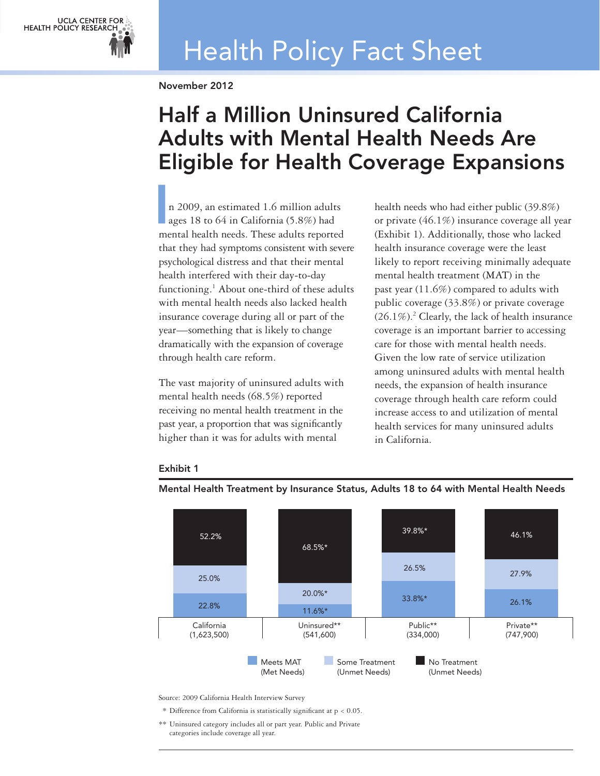

# Health Policy Fact Sheet

November 2012

# Half a Million Uninsured California Adults with Mental Health Needs Are Eligible for Health Coverage Expansions

n 2009, an estimated 1.6 million adults<br>ages 18 to 64 in California (5.8%) had<br>mental bealth needs. These adults reported ages 18 to 64 in California (5.8%) had mental health needs. These adults reported that they had symptoms consistent with severe psychological distress and that their mental health interfered with their day-to-day functioning.<sup>1</sup> About one-third of these adults with mental health needs also lacked health insurance coverage during all or part of the year—something that is likely to change dramatically with the expansion of coverage through health care reform.

The vast majority of uninsured adults with mental health needs (68.5%) reported receiving no mental health treatment in the past year, a proportion that was significantly higher than it was for adults with mental

health needs who had either public (39.8%) or private (46.1%) insurance coverage all year (Exhibit 1). Additionally, those who lacked health insurance coverage were the least likely to report receiving minimally adequate mental health treatment (MAT) in the past year (11.6%) compared to adults with public coverage (33.8%) or private coverage (26.1%).2 Clearly, the lack of health insurance coverage is an important barrier to accessing care for those with mental health needs. Given the low rate of service utilization among uninsured adults with mental health needs, the expansion of health insurance coverage through health care reform could increase access to and utilization of mental health services for many uninsured adults in California.



## Exhibit 1



Source: 2009 California Health Interview Survey

\* Difference from California is statistically significant at  $p < 0.05$ .

\*\* Uninsured category includes all or part year. Public and Private categories include coverage all year.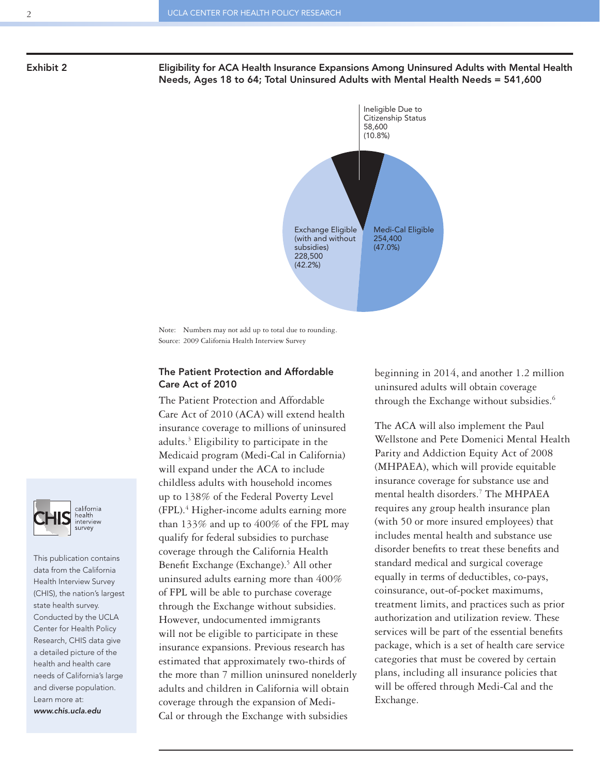Exhibit 2

Eligibility for ACA Health Insurance Expansions Among Uninsured Adults with Mental Health Needs, Ages 18 to 64; Total Uninsured Adults with Mental Health Needs = 541,600



Note: Numbers may not add up to total due to rounding. Source: 2009 California Health Interview Survey

### The Patient Protection and Affordable Care Act of 2010

The Patient Protection and Affordable Care Act of 2010 (ACA) will extend health insurance coverage to millions of uninsured adults.<sup>3</sup> Eligibility to participate in the Medicaid program (Medi-Cal in California) will expand under the ACA to include childless adults with household incomes up to 138% of the Federal Poverty Level (FPL).4 Higher-income adults earning more than 133% and up to 400% of the FPL may qualify for federal subsidies to purchase coverage through the California Health Benefit Exchange (Exchange).<sup>5</sup> All other uninsured adults earning more than 400% of FPL will be able to purchase coverage through the Exchange without subsidies. However, undocumented immigrants will not be eligible to participate in these insurance expansions. Previous research has estimated that approximately two-thirds of the more than 7 million uninsured nonelderly adults and children in California will obtain coverage through the expansion of Medi-Cal or through the Exchange with subsidies

beginning in 2014, and another 1.2 million uninsured adults will obtain coverage through the Exchange without subsidies.<sup>6</sup>

The ACA will also implement the Paul Wellstone and Pete Domenici Mental Health Parity and Addiction Equity Act of 2008 (MHPAEA), which will provide equitable insurance coverage for substance use and mental health disorders.7 The MHPAEA requires any group health insurance plan (with 50 or more insured employees) that includes mental health and substance use disorder benefits to treat these benefits and standard medical and surgical coverage equally in terms of deductibles, co-pays, coinsurance, out-of-pocket maximums, treatment limits, and practices such as prior authorization and utilization review. These services will be part of the essential benefits package, which is a set of health care service categories that must be covered by certain plans, including all insurance policies that will be offered through Medi-Cal and the Exchange.



This publication contains data from the California Health Interview Survey (CHIS), the nation's largest state health survey. Conducted by the UCLA Center for Health Policy Research, CHIS data give a detailed picture of the health and health care needs of California's large and diverse population. Learn more at: *www.chis.ucla.edu*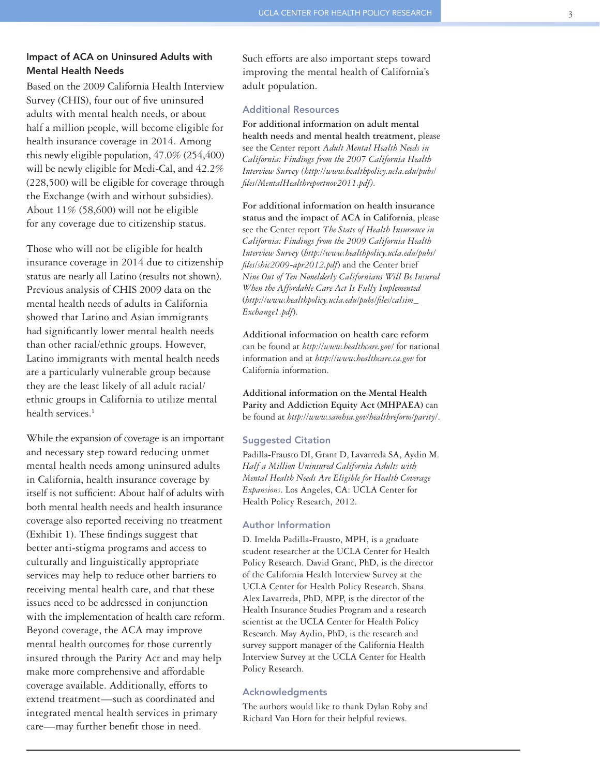# Impact of ACA on Uninsured Adults with Mental Health Needs

Based on the 2009 California Health Interview Survey (CHIS), four out of five uninsured adults with mental health needs, or about half a million people, will become eligible for health insurance coverage in 2014. Among this newly eligible population, 47.0% (254,400) will be newly eligible for Medi-Cal, and 42.2% (228,500) will be eligible for coverage through the Exchange (with and without subsidies). About 11% (58,600) will not be eligible for any coverage due to citizenship status.

Those who will not be eligible for health insurance coverage in 2014 due to citizenship status are nearly all Latino (results not shown). Previous analysis of CHIS 2009 data on the mental health needs of adults in California showed that Latino and Asian immigrants had significantly lower mental health needs than other racial/ethnic groups. However, Latino immigrants with mental health needs are a particularly vulnerable group because they are the least likely of all adult racial/ ethnic groups in California to utilize mental health services. 1

While the expansion of coverage is an important and necessary step toward reducing unmet mental health needs among uninsured adults in California, health insurance coverage by itself is not sufficient: About half of adults with both mental health needs and health insurance coverage also reported receiving no treatment (Exhibit 1). These findings suggest that better anti-stigma programs and access to culturally and linguistically appropriate services may help to reduce other barriers to receiving mental health care, and that these issues need to be addressed in conjunction with the implementation of health care reform. Beyond coverage, the ACA may improve mental health outcomes for those currently insured through the Parity Act and may help make more comprehensive and affordable coverage available. Additionally, efforts to extend treatment—such as coordinated and integrated mental health services in primary care—may further benefit those in need.

Such efforts are also important steps toward improving the mental health of California's adult population.

#### Additional Resources

**For additional information on adult mental health needs and mental health treatment**, please see the Center report *Adult Mental Health Needs in [California: Findings from the 2007 California Health](http://www.healthpolicy.ucla.edu/pubs/files/MentalHealthreportnov2011.pdf)  Interview Survey (http://www.healthpolicy.ucla.edu/pubs/ files/MentalHealthreportnov2011.pdf).*

**For additional information on health insurance status and the impact of ACA in California**, please see the Center report *The State of Health Insurance in [California: Findings from the 2009 California Health](http://www.healthpolicy.ucla.edu/pubs/files/shic2009-apr2012.pdf)  Interview Survey* (*http://www.healthpolicy.ucla.edu/pubs/ files/shic2009-apr2012.pdf*) and the Center brief *Nine Out of Ten Nonelderly Californians Will Be Insured [When the Affordable Care Act Is Fully Implemented](http://www.healthpolicy.ucla.edu/pubs/files/calsim_Exchange1.pdf)* (*http://www.healthpolicy.ucla.edu/pubs/files/calsim\_ Exchange1.pdf*).

**[Additional information on health care reform](http://www.healthcare.gov/)** can be found at *http://www.healthcare.gov/* for national information and at *<http://www.healthcare.ca.gov>* for California information.

**Additional information on the Mental Health Parity and Addiction Equity Act (MHPAEA)** can be found at *<http://www.samhsa.gov/healthreform/parity/>* .

#### Suggested Citation

Padilla-Frausto DI, Grant D, Lavarreda SA, Aydin M. *Half a Million Uninsured California Adults with Mental Health Needs Are Eligible for Health Coverage Expansions*. Los Angeles, CA: UCLA Center for Health Policy Research, 2012.

#### Author Information

D. Imelda Padilla-Frausto, MPH, is a graduate student researcher at the UCLA Center for Health Policy Research. David Grant, PhD, is the director of the California Health Interview Survey at the UCLA Center for Health Policy Research. Shana Alex Lavarreda, PhD, MPP, is the director of the Health Insurance Studies Program and a research scientist at the UCLA Center for Health Policy Research. May Aydin, PhD, is the research and survey support manager of the California Health Interview Survey at the UCLA Center for Health Policy Research.

#### Acknowledgments

The authors would like to thank Dylan Roby and Richard Van Horn for their helpful reviews.